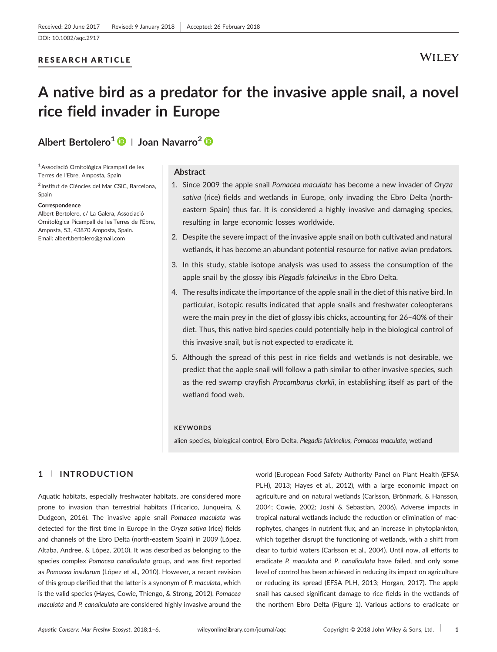### RESEARCH ARTICLE

# **WILEY**

# **A native bird as a predator for the invasive apple snail, a novel rice field invader in Europe**

# **Albert Bertolero<sup>1</sup> <sup>|</sup> Joan Navarro<sup>2</sup>**

1Associació Ornitològica Picampall de les Terres de l'Ebre, Amposta, Spain

<sup>2</sup> Institut de Ciències del Mar CSIC, Barcelona, Spain

#### **Correspondence**

Albert Bertolero, c/ La Galera, Associació Ornitològica Picampall de les Terres de l'Ebre, Amposta, 53, 43870 Amposta, Spain. Email: [albert.bertolero@gmail.com](mailto:albert.bertolero@gmail.com)

#### **Abstract**

- 1. Since 2009 the apple snail *Pomacea maculata* has become a new invader of *Oryza sativa* (rice) fields and wetlands in Europe, only invading the Ebro Delta (north‐ eastern Spain) thus far. It is considered a highly invasive and damaging species, resulting in large economic losses worldwide.
- 2. Despite the severe impact of the invasive apple snail on both cultivated and natural wetlands, it has become an abundant potential resource for native avian predators.
- 3. In this study, stable isotope analysis was used to assess the consumption of the apple snail by the glossy ibis *Plegadis falcinellus* in the Ebro Delta.
- 4. The results indicate the importance of the apple snail in the diet of this native bird. In particular, isotopic results indicated that apple snails and freshwater coleopterans were the main prey in the diet of glossy ibis chicks, accounting for 26–40% of their diet. Thus, this native bird species could potentially help in the biological control of this invasive snail, but is not expected to eradicate it.
- 5. Although the spread of this pest in rice fields and wetlands is not desirable, we predict that the apple snail will follow a path similar to other invasive species, such as the red swamp crayfish *Procambarus clarkii*, in establishing itself as part of the wetland food web.

#### **KEYWORDS**

alien species, biological control, Ebro Delta, *Plegadis falcinellus*, *Pomacea maculata*, wetland

# **1** | **INTRODUCTION**

Aquatic habitats, especially freshwater habitats, are considered more prone to invasion than terrestrial habitats (Tricarico, Junqueira, & Dudgeon, 2016). The invasive apple snail *Pomacea maculata* was detected for the first time in Europe in the *Oryza sativa* (rice) fields and channels of the Ebro Delta (north‐eastern Spain) in 2009 (López, Altaba, Andree, & López, 2010). It was described as belonging to the species complex *Pomacea canaliculata* group, and was first reported as *Pomacea insularum* (López et al., 2010). However, a recent revision of this group clarified that the latter is a synonym of *P. maculata*, which is the valid species (Hayes, Cowie, Thiengo, & Strong, 2012). *Pomacea maculata* and *P. canaliculata* are considered highly invasive around the

world (European Food Safety Authority Panel on Plant Health (EFSA PLH), 2013; Hayes et al., 2012), with a large economic impact on agriculture and on natural wetlands (Carlsson, Brönmark, & Hansson, 2004; Cowie, 2002; Joshi & Sebastian, 2006). Adverse impacts in tropical natural wetlands include the reduction or elimination of macrophytes, changes in nutrient flux, and an increase in phytoplankton, which together disrupt the functioning of wetlands, with a shift from clear to turbid waters (Carlsson et al., 2004). Until now, all efforts to eradicate *P. maculata* and *P. canaliculata* have failed, and only some level of control has been achieved in reducing its impact on agriculture or reducing its spread (EFSA PLH, 2013; Horgan, 2017). The apple snail has caused significant damage to rice fields in the wetlands of the northern Ebro Delta (Figure 1). Various actions to eradicate or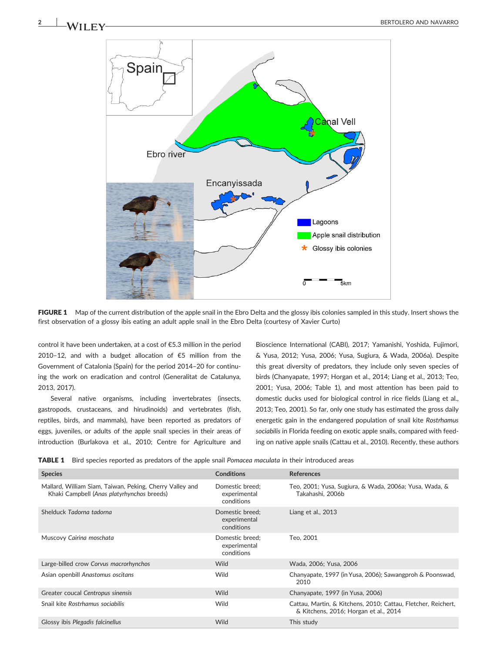



FIGURE 1 Map of the current distribution of the apple snail in the Ebro Delta and the glossy ibis colonies sampled in this study. Insert shows the first observation of a glossy ibis eating an adult apple snail in the Ebro Delta (courtesy of Xavier Curto)

control it have been undertaken, at a cost of €5.3 million in the period 2010–12, and with a budget allocation of €5 million from the Government of Catalonia (Spain) for the period 2014–20 for continuing the work on eradication and control (Generalitat de Catalunya, 2013, 2017).

Several native organisms, including invertebrates (insects, gastropods, crustaceans, and hirudinoids) and vertebrates (fish, reptiles, birds, and mammals), have been reported as predators of eggs, juveniles, or adults of the apple snail species in their areas of introduction (Burlakova et al., 2010; Centre for Agriculture and

Bioscience International (CABI), 2017; Yamanishi, Yoshida, Fujimori, & Yusa, 2012; Yusa, 2006; Yusa, Sugiura, & Wada, 2006a). Despite this great diversity of predators, they include only seven species of birds (Chanyapate, 1997; Horgan et al., 2014; Liang et al., 2013; Teo, 2001; Yusa, 2006; Table 1), and most attention has been paid to domestic ducks used for biological control in rice fields (Liang et al., 2013; Teo, 2001). So far, only one study has estimated the gross daily energetic gain in the endangered population of snail kite *Rostrhamus sociabilis* in Florida feeding on exotic apple snails, compared with feeding on native apple snails (Cattau et al., 2010). Recently, these authors

TABLE 1 Bird species reported as predators of the apple snail *Pomacea maculata* in their introduced areas

| <b>Species</b>                                                                                         | <b>Conditions</b>                             | <b>References</b>                                                                                      |
|--------------------------------------------------------------------------------------------------------|-----------------------------------------------|--------------------------------------------------------------------------------------------------------|
| Mallard, William Siam, Taiwan, Peking, Cherry Valley and<br>Khaki Campbell (Anas platyrhynchos breeds) | Domestic breed:<br>experimental<br>conditions | Teo, 2001; Yusa, Sugiura, & Wada, 2006a; Yusa, Wada, &<br>Takahashi, 2006b                             |
| Shelduck Tadorna tadorna                                                                               | Domestic breed:<br>experimental<br>conditions | Liang et al., 2013                                                                                     |
| Muscovy Cairina moschata                                                                               | Domestic breed;<br>experimental<br>conditions | Teo. 2001                                                                                              |
| Large-billed crow Corvus macrorhynchos                                                                 | Wild                                          | Wada, 2006; Yusa, 2006                                                                                 |
| Asian openbill Anastomus oscitans                                                                      | Wild                                          | Chanyapate, 1997 (in Yusa, 2006); Sawangproh & Poonswad,<br>2010                                       |
| Greater coucal Centropus sinensis                                                                      | Wild                                          | Chanyapate, 1997 (in Yusa, 2006)                                                                       |
| Snail kite Rostrhamus sociabilis                                                                       | Wild                                          | Cattau, Martin, & Kitchens, 2010; Cattau, Fletcher, Reichert,<br>& Kitchens, 2016; Horgan et al., 2014 |
| Glossy ibis Plegadis falcinellus                                                                       | Wild                                          | This study                                                                                             |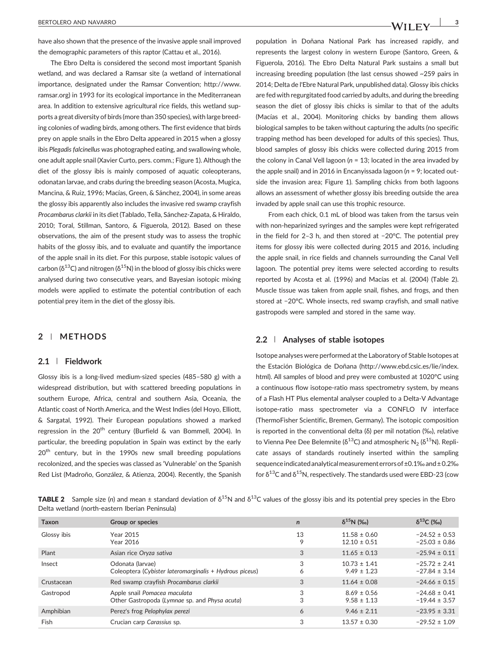have also shown that the presence of the invasive apple snail improved the demographic parameters of this raptor (Cattau et al., 2016).

The Ebro Delta is considered the second most important Spanish wetland, and was declared a Ramsar site (a wetland of international importance, designated under the Ramsar Convention; [http://www.](http://www.ramsar.org) [ramsar.org](http://www.ramsar.org)) in 1993 for its ecological importance in the Mediterranean area. In addition to extensive agricultural rice fields, this wetland supports a great diversity of birds (more than 350 species), with large breeding colonies of wading birds, among others. The first evidence that birds prey on apple snails in the Ebro Delta appeared in 2015 when a glossy ibis *Plegadis falcinellus* was photographed eating, and swallowing whole, one adult apple snail (Xavier Curto, pers. comm.; Figure 1). Although the diet of the glossy ibis is mainly composed of aquatic coleopterans, odonatan larvae, and crabs during the breeding season (Acosta, Mugica, Mancina, & Ruiz, 1996; Macías, Green, & Sánchez, 2004), in some areas the glossy ibis apparently also includes the invasive red swamp crayfish *Procambarus clarkii* in its diet (Tablado, Tella, Sánchez‐Zapata, & Hiraldo, 2010; Toral, Stillman, Santoro, & Figuerola, 2012). Based on these observations, the aim of the present study was to assess the trophic habits of the glossy ibis, and to evaluate and quantify the importance of the apple snail in its diet. For this purpose, stable isotopic values of carbon ( $\delta^{13}$ C) and nitrogen ( $\delta^{15}$ N) in the blood of glossy ibis chicks were analysed during two consecutive years, and Bayesian isotopic mixing models were applied to estimate the potential contribution of each potential prey item in the diet of the glossy ibis.

#### **2** | **METHODS**

#### **2.1** | **Fieldwork**

Glossy ibis is a long‐lived medium‐sized species (485–580 g) with a widespread distribution, but with scattered breeding populations in southern Europe, Africa, central and southern Asia, Oceania, the Atlantic coast of North America, and the West Indies (del Hoyo, Elliott, & Sargatal, 1992). Their European populations showed a marked regression in the  $20^{th}$  century (Burfield & van Bommell, 2004). In particular, the breeding population in Spain was extinct by the early 20<sup>th</sup> century, but in the 1990s new small breeding populations recolonized, and the species was classed as 'Vulnerable' on the Spanish Red List (Madroño, González, & Atienza, 2004). Recently, the Spanish

population in Doñana National Park has increased rapidly, and represents the largest colony in western Europe (Santoro, Green, & Figuerola, 2016). The Ebro Delta Natural Park sustains a small but increasing breeding population (the last census showed ~259 pairs in 2014; Delta de l'Ebre Natural Park, unpublished data). Glossy ibis chicks are fed with regurgitated food carried by adults, and during the breeding season the diet of glossy ibis chicks is similar to that of the adults (Macías et al., 2004). Monitoring chicks by banding them allows biological samples to be taken without capturing the adults (no specific trapping method has been developed for adults of this species). Thus, blood samples of glossy ibis chicks were collected during 2015 from the colony in Canal Vell lagoon (*n* = 13; located in the area invaded by the apple snail) and in 2016 in Encanyissada lagoon (*n* = 9; located outside the invasion area; Figure 1). Sampling chicks from both lagoons allows an assessment of whether glossy ibis breeding outside the area invaded by apple snail can use this trophic resource.

From each chick, 0.1 mL of blood was taken from the tarsus vein with non-heparinized syringes and the samples were kept refrigerated in the field for 2–3 h, and then stored at −20°C. The potential prey items for glossy ibis were collected during 2015 and 2016, including the apple snail, in rice fields and channels surrounding the Canal Vell lagoon. The potential prey items were selected according to results reported by Acosta et al. (1996) and Macías et al. (2004) (Table 2). Muscle tissue was taken from apple snail, fishes, and frogs, and then stored at −20°C. Whole insects, red swamp crayfish, and small native gastropods were sampled and stored in the same way.

#### **2.2** | **Analyses of stable isotopes**

Isotope analyses were performed at the Laboratory of Stable Isotopes at the Estación Biológica de Doñana ([http://www.ebd.csic.es/lie/index.](http://www.ebd.csic.es/lie/index.html) [html](http://www.ebd.csic.es/lie/index.html)). All samples of blood and prey were combusted at 1020°C using a continuous flow isotope‐ratio mass spectrometry system, by means of a Flash HT Plus elemental analyser coupled to a Delta‐V Advantage isotope‐ratio mass spectrometer via a CONFLO IV interface (ThermoFisher Scientific, Bremen, Germany). The isotopic composition is reported in the conventional delta (δ) per mil notation (‰), relative to Vienna Pee Dee Belemnite ( $\delta^{13}$ C) and atmospheric N<sub>2</sub> ( $\delta^{15}$ N). Replicate assays of standards routinely inserted within the sampling sequence indicatedanalyticalmeasurement errors of ±0.1‰and ± 0.2‰ for  $\delta^{13}$ C and  $\delta^{15}$ N, respectively. The standards used were EBD-23 (cow

**TABLE 2** Sample size (*n*) and mean ± standard deviation of δ<sup>15</sup>N and δ<sup>13</sup>C values of the glossy ibis and its potential prey species in the Ebro Delta wetland (north‐eastern Iberian Peninsula)

| Taxon       | Group or species                                                              | $\mathsf{n}$ | $\delta^{15}N$ (%)                   | $δ13C$ (‰)                             |
|-------------|-------------------------------------------------------------------------------|--------------|--------------------------------------|----------------------------------------|
| Glossy ibis | Year 2015<br>Year 2016                                                        | 13<br>9      | $11.58 \pm 0.60$<br>$12.10 \pm 0.51$ | $-24.52 \pm 0.53$<br>$-25.03 \pm 0.86$ |
| Plant       | Asian rice Oryza sativa                                                       | 3            | $11.65 \pm 0.13$                     | $-25.94 \pm 0.11$                      |
| Insect      | Odonata (larvae)<br>Coleoptera (Cybister lateromarginalis + Hydrous piceus)   | 3<br>6       | $10.73 \pm 1.41$<br>$9.49 \pm 1.23$  | $-25.72 \pm 2.41$<br>$-27.84 \pm 3.14$ |
| Crustacean  | Red swamp crayfish Procambarus clarkii                                        | 3            | $11.64 \pm 0.08$                     | $-24.66 \pm 0.15$                      |
| Gastropod   | Apple snail Pomacea maculata<br>Other Gastropoda (Lymnae sp. and Physa acuta) | 3<br>3       | $8.69 \pm 0.56$<br>$9.58 \pm 1.13$   | $-24.68 \pm 0.41$<br>$-19.44 \pm 3.57$ |
| Amphibian   | Perez's frog Pelophylax perezi                                                | 6            | $9.46 \pm 2.11$                      | $-23.95 \pm 3.31$                      |
| Fish        | Crucian carp Carassius sp.                                                    | 3            | $13.57 \pm 0.30$                     | $-29.52 \pm 1.09$                      |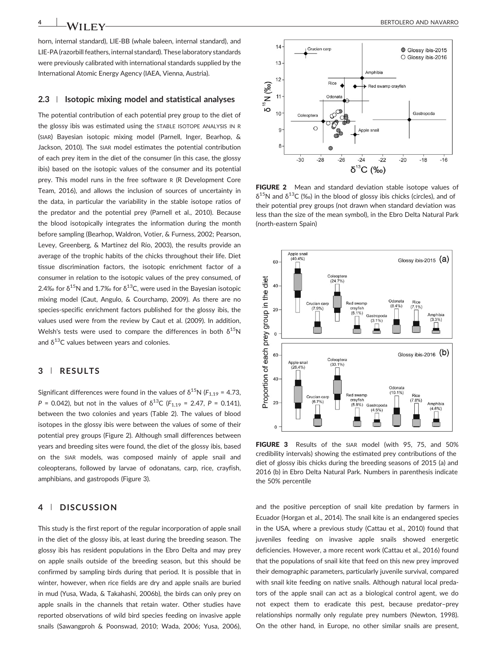horn, internal standard), LIE‐BB (whale baleen, internal standard), and LIE‐PA (razorbill feathers, internal standard). These laboratory standards were previously calibrated with international standards supplied by the International Atomic Energy Agency (IAEA, Vienna, Austria).

#### **2.3** | **Isotopic mixing model and statistical analyses**

The potential contribution of each potential prey group to the diet of the glossy ibis was estimated using the STABLE ISOTOPE ANALYSIS IN R (SIAR) Bayesian isotopic mixing model (Parnell, Inger, Bearhop, & Jackson, 2010). The SIAR model estimates the potential contribution of each prey item in the diet of the consumer (in this case, the glossy ibis) based on the isotopic values of the consumer and its potential prey. This model runs in the free software R (R Development Core Team, 2016), and allows the inclusion of sources of uncertainty in the data, in particular the variability in the stable isotope ratios of the predator and the potential prey (Parnell et al., 2010). Because the blood isotopically integrates the information during the month before sampling (Bearhop, Waldron, Votier, & Furness, 2002; Pearson, Levey, Greenberg, & Martínez del Río, 2003), the results provide an average of the trophic habits of the chicks throughout their life. Diet tissue discrimination factors, the isotopic enrichment factor of a consumer in relation to the isotopic values of the prey consumed, of 2.4‰ for  $\delta^{15}N$  and 1.7‰ for  $\delta^{13}C$ , were used in the Bayesian isotopic mixing model (Caut, Angulo, & Courchamp, 2009). As there are no species-specific enrichment factors published for the glossy ibis, the values used were from the review by Caut et al. (2009). In addition, Welsh's tests were used to compare the differences in both  $\delta^{15}N$ and  $\delta^{13}$ C values between years and colonies.

## **3** | **RESULTS**

Significant differences were found in the values of  $\delta^{15}N$  ( $F_{1,19}$  = 4.73, *P* = 0.042), but not in the values of  $\delta^{13}C$  (*F*<sub>1,19</sub> = 2.47, *P* = 0.141), between the two colonies and years (Table 2). The values of blood isotopes in the glossy ibis were between the values of some of their potential prey groups (Figure 2). Although small differences between years and breeding sites were found, the diet of the glossy ibis, based on the SIAR models, was composed mainly of apple snail and coleopterans, followed by larvae of odonatans, carp, rice, crayfish, amphibians, and gastropods (Figure 3).

## **4** | **DISCUSSION**

This study is the first report of the regular incorporation of apple snail in the diet of the glossy ibis, at least during the breeding season. The glossy ibis has resident populations in the Ebro Delta and may prey on apple snails outside of the breeding season, but this should be confirmed by sampling birds during that period. It is possible that in winter, however, when rice fields are dry and apple snails are buried in mud (Yusa, Wada, & Takahashi, 2006b), the birds can only prey on apple snails in the channels that retain water. Other studies have reported observations of wild bird species feeding on invasive apple snails (Sawangproh & Poonswad, 2010; Wada, 2006; Yusa, 2006),



FIGURE 2 Mean and standard deviation stable isotope values of  $\delta^{15}$ N and  $\delta^{13}$ C (‰) in the blood of glossy ibis chicks (circles), and of their potential prey groups (not drawn when standard deviation was less than the size of the mean symbol), in the Ebro Delta Natural Park (north‐eastern Spain)



**FIGURE 3** Results of the SIAR model (with 95, 75, and 50% credibility intervals) showing the estimated prey contributions of the diet of glossy ibis chicks during the breeding seasons of 2015 (a) and 2016 (b) in Ebro Delta Natural Park. Numbers in parenthesis indicate the 50% percentile

and the positive perception of snail kite predation by farmers in Ecuador (Horgan et al., 2014). The snail kite is an endangered species in the USA, where a previous study (Cattau et al., 2010) found that juveniles feeding on invasive apple snails showed energetic deficiencies. However, a more recent work (Cattau et al., 2016) found that the populations of snail kite that feed on this new prey improved their demographic parameters, particularly juvenile survival, compared with snail kite feeding on native snails. Although natural local predators of the apple snail can act as a biological control agent, we do not expect them to eradicate this pest, because predator–prey relationships normally only regulate prey numbers (Newton, 1998). On the other hand, in Europe, no other similar snails are present,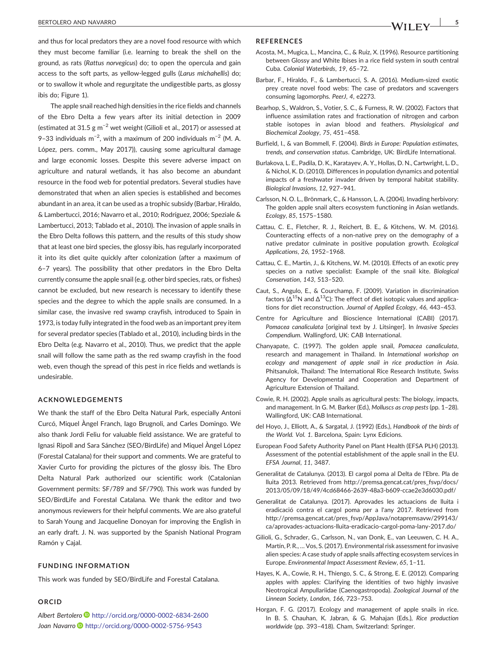and thus for local predators they are a novel food resource with which they must become familiar (i.e. learning to break the shell on the ground, as rats (*Rattus norvegicus*) do; to open the opercula and gain access to the soft parts, as yellow‐legged gulls (*Larus michahellis*) do; or to swallow it whole and regurgitate the undigestible parts, as glossy ibis do; Figure 1).

The apple snail reached high densities in the rice fields and channels of the Ebro Delta a few years after its initial detection in 2009 (estimated at 31.5 g m<sup>-2</sup> wet weight (Gilioli et al., 2017) or assessed at 9-33 individuals m<sup>-2</sup>, with a maximum of 200 individuals m<sup>-2</sup> (M. A. López, pers. comm., May 2017)), causing some agricultural damage and large economic losses. Despite this severe adverse impact on agriculture and natural wetlands, it has also become an abundant resource in the food web for potential predators. Several studies have demonstrated that when an alien species is established and becomes abundant in an area, it can be used as a trophic subsidy (Barbar, Hiraldo, & Lambertucci, 2016; Navarro et al., 2010; Rodríguez, 2006; Speziale & Lambertucci, 2013; Tablado et al., 2010). The invasion of apple snails in the Ebro Delta follows this pattern, and the results of this study show that at least one bird species, the glossy ibis, has regularly incorporated it into its diet quite quickly after colonization (after a maximum of 6–7 years). The possibility that other predators in the Ebro Delta currently consume the apple snail (e.g. other bird species, rats, or fishes) cannot be excluded, but new research is necessary to identify these species and the degree to which the apple snails are consumed. In a similar case, the invasive red swamp crayfish, introduced to Spain in 1973, is today fully integrated in the food web as an important prey item for several predator species (Tablado et al., 2010), including birds in the Ebro Delta (e.g. Navarro et al., 2010). Thus, we predict that the apple snail will follow the same path as the red swamp crayfish in the food web, even though the spread of this pest in rice fields and wetlands is undesirable.

#### **ACKNOWLEDGEMENTS**

We thank the staff of the Ebro Delta Natural Park, especially Antoni Curcó, Miquel Àngel Franch, Iago Brugnoli, and Carles Domingo. We also thank Jordi Feliu for valuable field assistance. We are grateful to Ignasi Ripoll and Sara Sánchez (SEO/BirdLife) and Miquel Àngel López (Forestal Catalana) for their support and comments. We are grateful to Xavier Curto for providing the pictures of the glossy ibis. The Ebro Delta Natural Park authorized our scientific work (Catalonian Government permits: SF/789 and SF/790). This work was funded by SEO/BirdLife and Forestal Catalana. We thank the editor and two anonymous reviewers for their helpful comments. We are also grateful to Sarah Young and Jacqueline Donoyan for improving the English in an early draft. J. N. was supported by the Spanish National Program Ramón y Cajal.

#### **FUNDING INFORMATION**

This work was funded by SEO/BirdLife and Forestal Catalana.

#### **ORCID**

*Albert Bertolero* <http://orcid.org/0000-0002-6834-2600> *Joan Navarro* <http://orcid.org/0000-0002-5756-9543>

#### **REFERENCES**

- Acosta, M., Mugica, L., Mancina, C., & Ruiz, X. (1996). Resource partitioning between Glossy and White Ibises in a rice field system in south central Cuba. *Colonial Waterbirds*, *19*, 65–72.
- Barbar, F., Hiraldo, F., & Lambertucci, S. A. (2016). Medium‐sized exotic prey create novel food webs: The case of predators and scavengers consuming lagomorphs. *PeerJ*, *4*, e2273.
- Bearhop, S., Waldron, S., Votier, S. C., & Furness, R. W. (2002). Factors that influence assimilation rates and fractionation of nitrogen and carbon stable isotopes in avian blood and feathers. *Physiological and Biochemical Zoology*, *75*, 451–458.
- Burfield, I., & van Bommell, F. (2004). *Birds in Europe: Population estimates, trends, and conservation status*. Cambridge, UK: BirdLife International.
- Burlakova, L. E., Padila, D. K., Karatayev, A. Y., Hollas, D. N., Cartwright, L. D., & Nichol, K. D. (2010). Differences in population dynamics and potential impacts of a freshwater invader driven by temporal habitat stability. *Biological Invasions*, *12*, 927–941.
- Carlsson, N. O. L., Brönmark, C., & Hansson, L. A. (2004). Invading herbivory: The golden apple snail alters ecosystem functioning in Asian wetlands. *Ecology*, *85*, 1575–1580.
- Cattau, C. E., Fletcher, R. J., Reichert, B. E., & Kitchens, W. M. (2016). Counteracting effects of a non‐native prey on the demography of a native predator culminate in positive population growth. *Ecological Applications*, *26*, 1952–1968.
- Cattau, C. E., Martin, J., & Kitchens, W. M. (2010). Effects of an exotic prey species on a native specialist: Example of the snail kite. *Biological Conservation*, *143*, 513–520.
- Caut, S., Angulo, E., & Courchamp, F. (2009). Variation in discrimination factors ( $\Delta^{15}$ N and  $\Delta^{13}$ C): The effect of diet isotopic values and applications for diet reconstruction. *Journal of Applied Ecology*, *46*, 443–453.
- Centre for Agriculture and Bioscience International (CABI) (2017). *Pomacea canaliculata* [original text by J. Litsinger]. In *Invasive Species Compendium*. Wallingford, UK: CAB International.
- Chanyapate, C. (1997). The golden apple snail, *Pomacea canaliculata*, research and management in Thailand. In *International workshop on ecology and management of apple snail in rice production in Asia*. Phitsanulok, Thailand: The International Rice Research Institute, Swiss Agency for Developmental and Cooperation and Department of Agriculture Extension of Thailand.
- Cowie, R. H. (2002). Apple snails as agricultural pests: The biology, impacts, and management. In G. M. Barker (Ed.), *Molluscs as crop pests* (pp. 1–28). Wallingford, UK: CAB International.
- del Hoyo, J., Elliott, A., & Sargatal, J. (1992) (Eds.), *Handbook of the birds of the World. Vol. 1*. Barcelona, Spain: Lynx Edicions.
- European Food Safety Authority Panel on Plant Health (EFSA PLH) (2013). Assessment of the potential establishment of the apple snail in the EU. *EFSA Journal*, *11*, 3487.
- Generalitat de Catalunya. (2013). El cargol poma al Delta de l'Ebre. Pla de lluita 2013. Retrieved from [http://premsa.gencat.cat/pres\\_fsvp/docs/](http://premsa.gencat.cat/pres_fsvp/docs/2013/05/09/18/49/4cd68466-2639-48a3-b609-ccae2e3d6030.pdf) [2013/05/09/18/49/4cd68466](http://premsa.gencat.cat/pres_fsvp/docs/2013/05/09/18/49/4cd68466-2639-48a3-b609-ccae2e3d6030.pdf)‐2639‐48a3‐b609‐ccae2e3d6030.pdf/
- Generalitat de Catalunya. (2017). Aprovades les actuacions de lluita i eradicació contra el cargol poma per a l'any 2017. Retrieved from [http://premsa.gencat.cat/pres\\_fsvp/AppJava/notapremsavw/299143/](http://premsa.gencat.cat/pres_fsvp/AppJava/notapremsavw/299143/ca/aprovades-actuacions-lluita-eradicacio-cargol-poma-lany-2017.do) [ca/aprovades](http://premsa.gencat.cat/pres_fsvp/AppJava/notapremsavw/299143/ca/aprovades-actuacions-lluita-eradicacio-cargol-poma-lany-2017.do)‐actuacions‐lluita‐eradicacio‐cargol‐poma‐lany‐2017.do/
- Gilioli, G., Schrader, G., Carlsson, N., van Donk, E., van Leeuwen, C. H. A., Martín, P. R., … Vos, S. (2017). Environmental risk assessment for invasive alien species: A case study of apple snails affecting ecosystem services in Europe. *Environmental Impact Assessment Review*, *65*, 1–11.
- Hayes, K. A., Cowie, R. H., Thiengo, S. C., & Strong, E. E. (2012). Comparing apples with apples: Clarifying the identities of two highly invasive Neotropical Ampullariidae (Caenogastropoda). *Zoological Journal of the Linnean Society, London*, *166*, 723–753.
- Horgan, F. G. (2017). Ecology and management of apple snails in rice. In B. S. Chauhan, K. Jabran, & G. Mahajan (Eds.), *Rice production worldwide* (pp. 393–418). Cham, Switzerland: Springer.